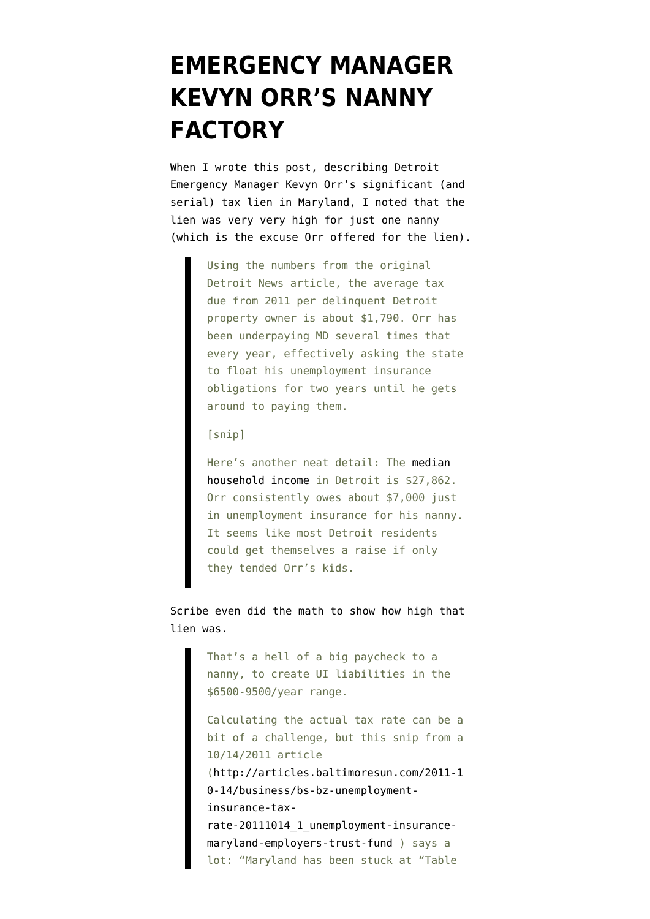## **[EMERGENCY MANAGER](https://www.emptywheel.net/2013/03/19/emergency-manager-kevyn-orrs-nanny-factory/) [KEVYN ORR'S NANNY](https://www.emptywheel.net/2013/03/19/emergency-manager-kevyn-orrs-nanny-factory/) [FACTORY](https://www.emptywheel.net/2013/03/19/emergency-manager-kevyn-orrs-nanny-factory/)**

When I wrote [this post](http://www.emptywheel.net/2013/03/16/the-dictator-taking-on-detroits-so-called-deadbeats-is-one-himself/), describing Detroit Emergency Manager Kevyn Orr's significant (and serial) tax lien in Maryland, I noted that the lien was very very high for just one nanny (which is the excuse Orr offered for the lien).

> Using the numbers from the original Detroit News article, the average tax due from 2011 per delinquent Detroit property owner is about \$1,790. Orr has been underpaying MD several times that every year, effectively asking the state to float his unemployment insurance obligations for two years until he gets around to paying them.

[snip]

Here's another neat detail: The [median](http://quickfacts.census.gov/qfd/states/26/2622000.html) [household income](http://quickfacts.census.gov/qfd/states/26/2622000.html) in Detroit is \$27,862. Orr consistently owes about \$7,000 just in unemployment insurance for his nanny. It seems like most Detroit residents could get themselves a raise if only they tended Orr's kids.

Scribe even [did the math](http://www.emptywheel.net/2013/03/16/the-dictator-taking-on-detroits-so-called-deadbeats-is-one-himself/#comment-529870) to show how high that lien was.

> That's a hell of a big paycheck to a nanny, to create UI liabilities in the \$6500-9500/year range.

Calculating the actual tax rate can be a bit of a challenge, but this snip from a 10/14/2011 article ([http://articles.baltimoresun.com/2011-1](http://articles.baltimoresun.com/2011-10-14/business/bs-bz-unemployment-insurance-tax-rate-20111014_1_unemployment-insurance-maryland-employers-trust-fund) [0-14/business/bs-bz-unemployment](http://articles.baltimoresun.com/2011-10-14/business/bs-bz-unemployment-insurance-tax-rate-20111014_1_unemployment-insurance-maryland-employers-trust-fund)[insurance-tax](http://articles.baltimoresun.com/2011-10-14/business/bs-bz-unemployment-insurance-tax-rate-20111014_1_unemployment-insurance-maryland-employers-trust-fund)rate-20111014 1 unemployment-insurance[maryland-employers-trust-fund](http://articles.baltimoresun.com/2011-10-14/business/bs-bz-unemployment-insurance-tax-rate-20111014_1_unemployment-insurance-maryland-employers-trust-fund) ) says a lot: "Maryland has been stuck at "Table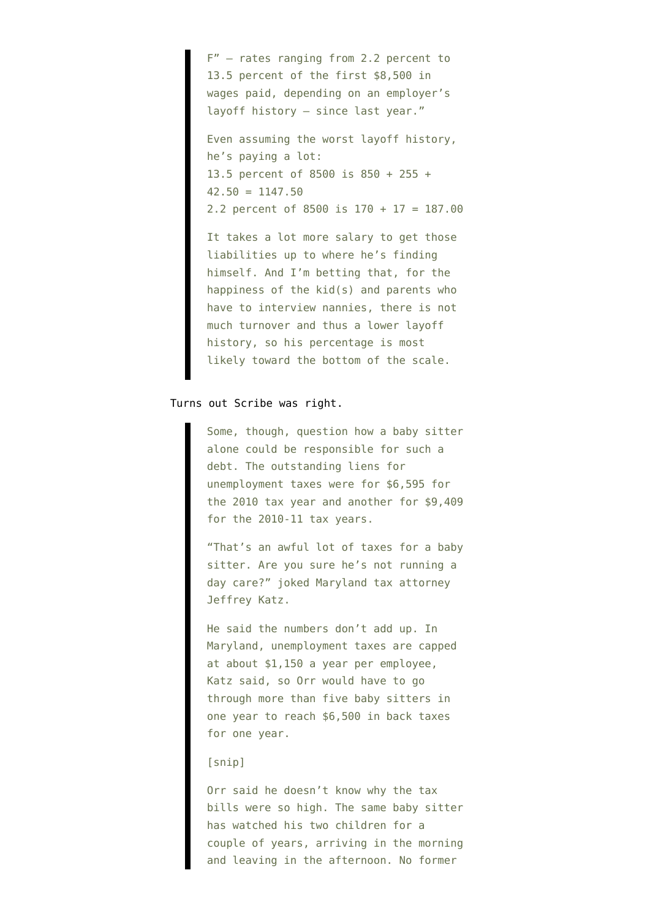F" — rates ranging from 2.2 percent to 13.5 percent of the first \$8,500 in wages paid, depending on an employer's layoff history — since last year."

Even assuming the worst layoff history, he's paying a lot: 13.5 percent of 8500 is 850 + 255 +  $42.50 = 1147.50$ 2.2 percent of 8500 is 170 + 17 = 187.00

It takes a lot more salary to get those liabilities up to where he's finding himself. And I'm betting that, for the happiness of the kid(s) and parents who have to interview nannies, there is not much turnover and thus a lower layoff history, so his percentage is most likely toward the bottom of the scale.

## Turns out [Scribe was right.](http://www.detroitnews.com/article/20130319/METRO01/303190341)

Some, though, question how a baby sitter alone could be responsible for such a debt. The outstanding liens for unemployment taxes were for \$6,595 for the 2010 tax year and another for \$9,409 for the 2010-11 tax years.

"That's an awful lot of taxes for a baby sitter. Are you sure he's not running a day care?" joked Maryland tax attorney Jeffrey Katz.

He said the numbers don't add up. In Maryland, unemployment taxes are capped at about \$1,150 a year per employee, Katz said, so Orr would have to go through more than five baby sitters in one year to reach \$6,500 in back taxes for one year.

## [snip]

Orr said he doesn't know why the tax bills were so high. The same baby sitter has watched his two children for a couple of years, arriving in the morning and leaving in the afternoon. No former